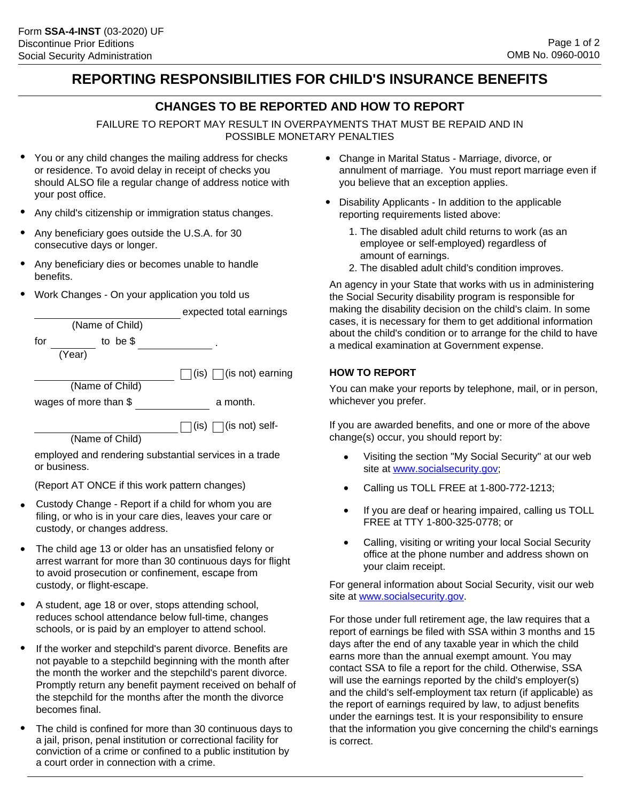# **REPORTING RESPONSIBILITIES FOR CHILD'S INSURANCE BENEFITS**

### **CHANGES TO BE REPORTED AND HOW TO REPORT**

FAILURE TO REPORT MAY RESULT IN OVERPAYMENTS THAT MUST BE REPAID AND IN POSSIBLE MONETARY PENALTIES

- You or any child changes the mailing address for checks or residence. To avoid delay in receipt of checks you should ALSO file a regular change of address notice with your post office.
- Any child's citizenship or immigration status changes.
- Any beneficiary goes outside the U.S.A. for 30 consecutive days or longer.
- Any beneficiary dies or becomes unable to handle benefits.
- Work Changes On your application you told us

|                       | expected total earnings                 |
|-----------------------|-----------------------------------------|
| (Name of Child)       |                                         |
| for<br>to be $$$      |                                         |
| (Year)                |                                         |
|                       | $\Box$ (is) $\Box$ (is not) earning     |
| (Name of Child)       |                                         |
| wages of more than \$ | a month.                                |
|                       | $\bigcap$ (is) $\bigcap$ (is not) self- |
| (Name of Child)       |                                         |
| .                     |                                         |

employed and rendering substantial services in a trade or business.

(Report AT ONCE if this work pattern changes)

- Custody Change Report if a child for whom you are filing, or who is in your care dies, leaves your care or custody, or changes address.
- The child age 13 or older has an unsatisfied felony or arrest warrant for more than 30 continuous days for flight to avoid prosecution or confinement, escape from custody, or flight-escape.
- A student, age 18 or over, stops attending school, reduces school attendance below full-time, changes schools, or is paid by an employer to attend school.
- If the worker and stepchild's parent divorce. Benefits are not payable to a stepchild beginning with the month after the month the worker and the stepchild's parent divorce. Promptly return any benefit payment received on behalf of the stepchild for the months after the month the divorce becomes final.
- The child is confined for more than 30 continuous days to a jail, prison, penal institution or correctional facility for conviction of a crime or confined to a public institution by a court order in connection with a crime. •
- Change in Marital Status Marriage, divorce, or annulment of marriage. You must report marriage even if you believe that an exception applies.
- Disability Applicants In addition to the applicable reporting requirements listed above:
	- 1. The disabled adult child returns to work (as an employee or self-employed) regardless of amount of earnings.
	- 2. The disabled adult child's condition improves.

An agency in your State that works with us in administering the Social Security disability program is responsible for making the disability decision on the child's claim. In some cases, it is necessary for them to get additional information about the child's condition or to arrange for the child to have a medical examination at Government expense.

#### **HOW TO REPORT**

You can make your reports by telephone, mail, or in person, whichever you prefer.

If you are awarded benefits, and one or more of the above change(s) occur, you should report by:

- Visiting the section "My Social Security" at our web site at www.socialsecurity.gov;
- Calling us TOLL FREE at 1-800-772-1213;
- If you are deaf or hearing impaired, calling us TOLL FREE at TTY 1-800-325-0778; or
- Calling, visiting or writing your local Social Security office at the phone number and address shown on your claim receipt.

For general information about Social Security, visit our web site at www.socialsecurity.gov.

For those under full retirement age, the law requires that a report of earnings be filed with SSA within 3 months and 15 days after the end of any taxable year in which the child earns more than the annual exempt amount. You may contact SSA to file a report for the child. Otherwise, SSA will use the earnings reported by the child's employer(s) and the child's self-employment tax return (if applicable) as the report of earnings required by law, to adjust benefits under the earnings test. It is your responsibility to ensure that the information you give concerning the child's earnings is correct.